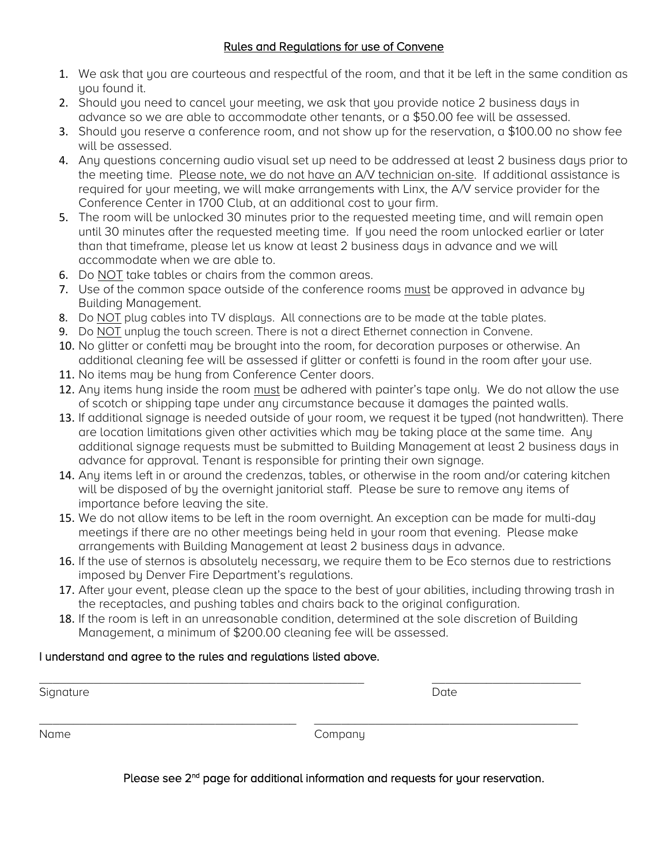# Rules and Regulations for use of Convene

- 1. We ask that you are courteous and respectful of the room, and that it be left in the same condition as you found it.
- 2. Should you need to cancel your meeting, we ask that you provide notice 2 business days in advance so we are able to accommodate other tenants, or a \$50.00 fee will be assessed.
- 3. Should you reserve a conference room, and not show up for the reservation, a \$100.00 no show fee will be assessed.
- 4. Any questions concerning audio visual set up need to be addressed at least 2 business days prior to the meeting time. Please note, we do not have an A/V technician on-site. If additional assistance is required for your meeting, we will make arrangements with Linx, the A/V service provider for the Conference Center in 1700 Club, at an additional cost to your firm.
- 5. The room will be unlocked 30 minutes prior to the requested meeting time, and will remain open until 30 minutes after the requested meeting time. If you need the room unlocked earlier or later than that timeframe, please let us know at least 2 business days in advance and we will accommodate when we are able to.
- 6. Do NOT take tables or chairs from the common areas.
- 7. Use of the common space outside of the conference rooms must be approved in advance by Building Management.
- 8. Do NOT plug cables into TV displays. All connections are to be made at the table plates.
- 9. Do NOT unplug the touch screen. There is not a direct Ethernet connection in Convene.
- 10. No glitter or confetti may be brought into the room, for decoration purposes or otherwise. An additional cleaning fee will be assessed if glitter or confetti is found in the room after your use.
- 11. No items may be hung from Conference Center doors.
- 12. Any items hung inside the room must be adhered with painter's tape only. We do not allow the use of scotch or shipping tape under any circumstance because it damages the painted walls.
- 13. If additional signage is needed outside of your room, we request it be typed (not handwritten). There are location limitations given other activities which may be taking place at the same time. Any additional signage requests must be submitted to Building Management at least 2 business days in advance for approval. Tenant is responsible for printing their own signage.
- 14. Anu items left in or around the credenzas, tables, or otherwise in the room and/or catering kitchen will be disposed of by the overnight janitorial staff. Please be sure to remove any items of importance before leaving the site.
- 15. We do not allow items to be left in the room overnight. An exception can be made for multi-day meetings if there are no other meetings being held in your room that evening. Please make arrangements with Building Management at least 2 business days in advance.
- 16. If the use of sternos is absolutely necessary, we require them to be Eco sternos due to restrictions imposed by Denver Fire Department's regulations.
- 17. After your event, please clean up the space to the best of your abilities, including throwing trash in the receptacles, and pushing tables and chairs back to the original configuration.
- 18. If the room is left in an unreasonable condition, determined at the sole discretion of Building Management, a minimum of \$200.00 cleaning fee will be assessed.

# I understand and agree to the rules and regulations listed above.

| Signature | Date    |  |
|-----------|---------|--|
|           |         |  |
| Name      | Company |  |

Please see 2<sup>nd</sup> page for additional information and requests for your reservation.